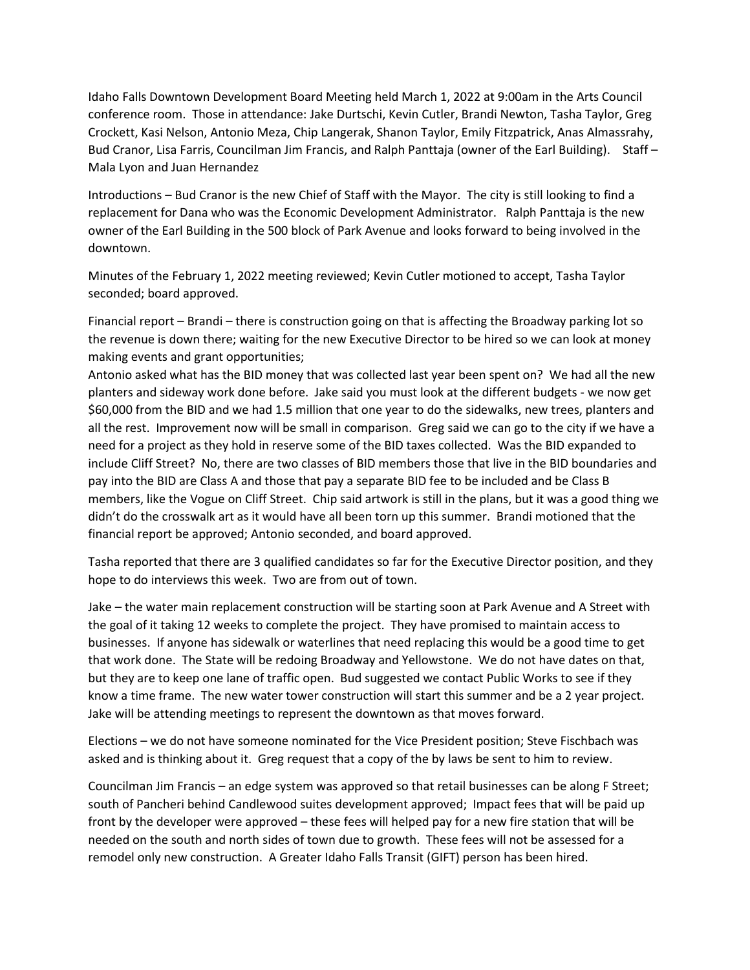Idaho Falls Downtown Development Board Meeting held March 1, 2022 at 9:00am in the Arts Council conference room. Those in attendance: Jake Durtschi, Kevin Cutler, Brandi Newton, Tasha Taylor, Greg Crockett, Kasi Nelson, Antonio Meza, Chip Langerak, Shanon Taylor, Emily Fitzpatrick, Anas Almassrahy, Bud Cranor, Lisa Farris, Councilman Jim Francis, and Ralph Panttaja (owner of the Earl Building). Staff – Mala Lyon and Juan Hernandez

Introductions – Bud Cranor is the new Chief of Staff with the Mayor. The city is still looking to find a replacement for Dana who was the Economic Development Administrator. Ralph Panttaja is the new owner of the Earl Building in the 500 block of Park Avenue and looks forward to being involved in the downtown.

Minutes of the February 1, 2022 meeting reviewed; Kevin Cutler motioned to accept, Tasha Taylor seconded; board approved.

Financial report – Brandi – there is construction going on that is affecting the Broadway parking lot so the revenue is down there; waiting for the new Executive Director to be hired so we can look at money making events and grant opportunities;

Antonio asked what has the BID money that was collected last year been spent on? We had all the new planters and sideway work done before. Jake said you must look at the different budgets - we now get \$60,000 from the BID and we had 1.5 million that one year to do the sidewalks, new trees, planters and all the rest. Improvement now will be small in comparison. Greg said we can go to the city if we have a need for a project as they hold in reserve some of the BID taxes collected. Was the BID expanded to include Cliff Street? No, there are two classes of BID members those that live in the BID boundaries and pay into the BID are Class A and those that pay a separate BID fee to be included and be Class B members, like the Vogue on Cliff Street. Chip said artwork is still in the plans, but it was a good thing we didn't do the crosswalk art as it would have all been torn up this summer. Brandi motioned that the financial report be approved; Antonio seconded, and board approved.

Tasha reported that there are 3 qualified candidates so far for the Executive Director position, and they hope to do interviews this week. Two are from out of town.

Jake – the water main replacement construction will be starting soon at Park Avenue and A Street with the goal of it taking 12 weeks to complete the project. They have promised to maintain access to businesses. If anyone has sidewalk or waterlines that need replacing this would be a good time to get that work done. The State will be redoing Broadway and Yellowstone. We do not have dates on that, but they are to keep one lane of traffic open. Bud suggested we contact Public Works to see if they know a time frame. The new water tower construction will start this summer and be a 2 year project. Jake will be attending meetings to represent the downtown as that moves forward.

Elections – we do not have someone nominated for the Vice President position; Steve Fischbach was asked and is thinking about it. Greg request that a copy of the by laws be sent to him to review.

Councilman Jim Francis – an edge system was approved so that retail businesses can be along F Street; south of Pancheri behind Candlewood suites development approved; Impact fees that will be paid up front by the developer were approved – these fees will helped pay for a new fire station that will be needed on the south and north sides of town due to growth. These fees will not be assessed for a remodel only new construction. A Greater Idaho Falls Transit (GIFT) person has been hired.